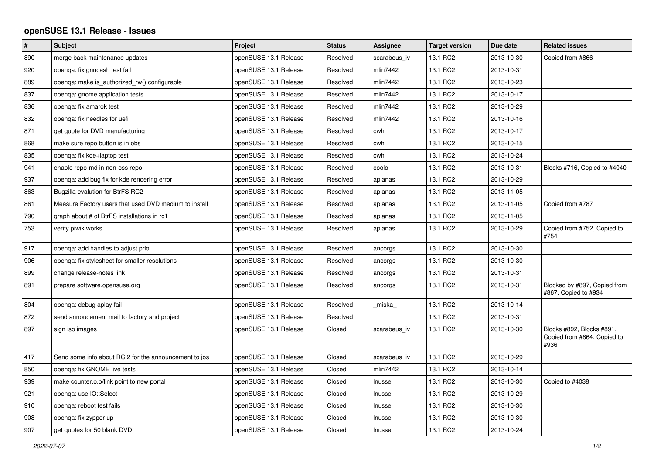## **openSUSE 13.1 Release - Issues**

| $\vert$ # | <b>Subject</b>                                        | Project               | <b>Status</b> | Assignee     | <b>Target version</b> | Due date   | <b>Related issues</b>                                            |
|-----------|-------------------------------------------------------|-----------------------|---------------|--------------|-----------------------|------------|------------------------------------------------------------------|
| 890       | merge back maintenance updates                        | openSUSE 13.1 Release | Resolved      | scarabeus iv | 13.1 RC2              | 2013-10-30 | Copied from #866                                                 |
| 920       | openqa: fix gnucash test fail                         | openSUSE 13.1 Release | Resolved      | mlin7442     | 13.1 RC2              | 2013-10-31 |                                                                  |
| 889       | openqa: make is_authorized_rw() configurable          | openSUSE 13.1 Release | Resolved      | mlin7442     | 13.1 RC2              | 2013-10-23 |                                                                  |
| 837       | openqa: gnome application tests                       | openSUSE 13.1 Release | Resolved      | mlin7442     | 13.1 RC2              | 2013-10-17 |                                                                  |
| 836       | openga: fix amarok test                               | openSUSE 13.1 Release | Resolved      | mlin7442     | 13.1 RC2              | 2013-10-29 |                                                                  |
| 832       | openga: fix needles for uefi                          | openSUSE 13.1 Release | Resolved      | mlin7442     | 13.1 RC2              | 2013-10-16 |                                                                  |
| 871       | get quote for DVD manufacturing                       | openSUSE 13.1 Release | Resolved      | cwh          | 13.1 RC2              | 2013-10-17 |                                                                  |
| 868       | make sure repo button is in obs                       | openSUSE 13.1 Release | Resolved      | cwh          | 13.1 RC2              | 2013-10-15 |                                                                  |
| 835       | openga: fix kde+laptop test                           | openSUSE 13.1 Release | Resolved      | cwh          | 13.1 RC2              | 2013-10-24 |                                                                  |
| 941       | enable repo-md in non-oss repo                        | openSUSE 13.1 Release | Resolved      | coolo        | 13.1 RC2              | 2013-10-31 | Blocks #716, Copied to #4040                                     |
| 937       | openga: add bug fix for kde rendering error           | openSUSE 13.1 Release | Resolved      | aplanas      | 13.1 RC2              | 2013-10-29 |                                                                  |
| 863       | Bugzilla evalution for BtrFS RC2                      | openSUSE 13.1 Release | Resolved      | aplanas      | 13.1 RC2              | 2013-11-05 |                                                                  |
| 861       | Measure Factory users that used DVD medium to install | openSUSE 13.1 Release | Resolved      | aplanas      | 13.1 RC2              | 2013-11-05 | Copied from #787                                                 |
| 790       | graph about # of BtrFS installations in rc1           | openSUSE 13.1 Release | Resolved      | aplanas      | 13.1 RC2              | 2013-11-05 |                                                                  |
| 753       | verify piwik works                                    | openSUSE 13.1 Release | Resolved      | aplanas      | 13.1 RC2              | 2013-10-29 | Copied from #752, Copied to<br>#754                              |
| 917       | openqa: add handles to adjust prio                    | openSUSE 13.1 Release | Resolved      | ancorgs      | 13.1 RC2              | 2013-10-30 |                                                                  |
| 906       | openqa: fix stylesheet for smaller resolutions        | openSUSE 13.1 Release | Resolved      | ancorgs      | 13.1 RC2              | 2013-10-30 |                                                                  |
| 899       | change release-notes link                             | openSUSE 13.1 Release | Resolved      | ancorgs      | 13.1 RC2              | 2013-10-31 |                                                                  |
| 891       | prepare software.opensuse.org                         | openSUSE 13.1 Release | Resolved      | ancorgs      | 13.1 RC2              | 2013-10-31 | Blocked by #897, Copied from<br>#867, Copied to #934             |
| 804       | openga: debug aplay fail                              | openSUSE 13.1 Release | Resolved      | miska        | 13.1 RC2              | 2013-10-14 |                                                                  |
| 872       | send annoucement mail to factory and project          | openSUSE 13.1 Release | Resolved      |              | 13.1 RC2              | 2013-10-31 |                                                                  |
| 897       | sign iso images                                       | openSUSE 13.1 Release | Closed        | scarabeus iv | 13.1 RC2              | 2013-10-30 | Blocks #892, Blocks #891,<br>Copied from #864, Copied to<br>#936 |
| 417       | Send some info about RC 2 for the announcement to jos | openSUSE 13.1 Release | Closed        | scarabeus_iv | 13.1 RC2              | 2013-10-29 |                                                                  |
| 850       | openqa: fix GNOME live tests                          | openSUSE 13.1 Release | Closed        | mlin7442     | 13.1 RC2              | 2013-10-14 |                                                                  |
| 939       | make counter.o.o/link point to new portal             | openSUSE 13.1 Release | Closed        | Inussel      | 13.1 RC2              | 2013-10-30 | Copied to #4038                                                  |
| 921       | openqa: use IO::Select                                | openSUSE 13.1 Release | Closed        | Inussel      | 13.1 RC2              | 2013-10-29 |                                                                  |
| 910       | openga: reboot test fails                             | openSUSE 13.1 Release | Closed        | Inussel      | 13.1 RC2              | 2013-10-30 |                                                                  |
| 908       | openga: fix zypper up                                 | openSUSE 13.1 Release | Closed        | Inussel      | 13.1 RC2              | 2013-10-30 |                                                                  |
| 907       | get quotes for 50 blank DVD                           | openSUSE 13.1 Release | Closed        | Inussel      | 13.1 RC2              | 2013-10-24 |                                                                  |